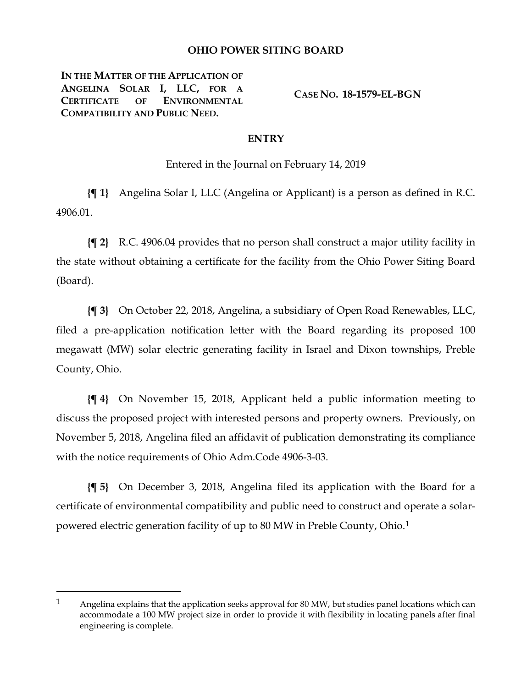## **OHIO POWER SITING BOARD**

**IN THE MATTER OF THE APPLICATION OF ANGELINA SOLAR I, LLC, FOR A CERTIFICATE OF ENVIRONMENTAL COMPATIBILITY AND PUBLIC NEED.**

 $\overline{a}$ 

**CASE NO. 18-1579-EL-BGN**

## **ENTRY**

Entered in the Journal on February 14, 2019

**{¶ 1}** Angelina Solar I, LLC (Angelina or Applicant) is a person as defined in R.C. 4906.01.

**{¶ 2}** R.C. 4906.04 provides that no person shall construct a major utility facility in the state without obtaining a certificate for the facility from the Ohio Power Siting Board (Board).

**{¶ 3}** On October 22, 2018, Angelina, a subsidiary of Open Road Renewables, LLC, filed a pre-application notification letter with the Board regarding its proposed 100 megawatt (MW) solar electric generating facility in Israel and Dixon townships, Preble County, Ohio.

**{¶ 4}** On November 15, 2018, Applicant held a public information meeting to discuss the proposed project with interested persons and property owners. Previously, on November 5, 2018, Angelina filed an affidavit of publication demonstrating its compliance with the notice requirements of Ohio Adm.Code 4906-3-03.

**{¶ 5}** On December 3, 2018, Angelina filed its application with the Board for a certificate of environmental compatibility and public need to construct and operate a solarpowered electric generation facility of up to 80 MW in Preble County, Ohio.[1](#page-0-0)

<span id="page-0-0"></span><sup>1</sup> Angelina explains that the application seeks approval for 80 MW, but studies panel locations which can accommodate a 100 MW project size in order to provide it with flexibility in locating panels after final engineering is complete.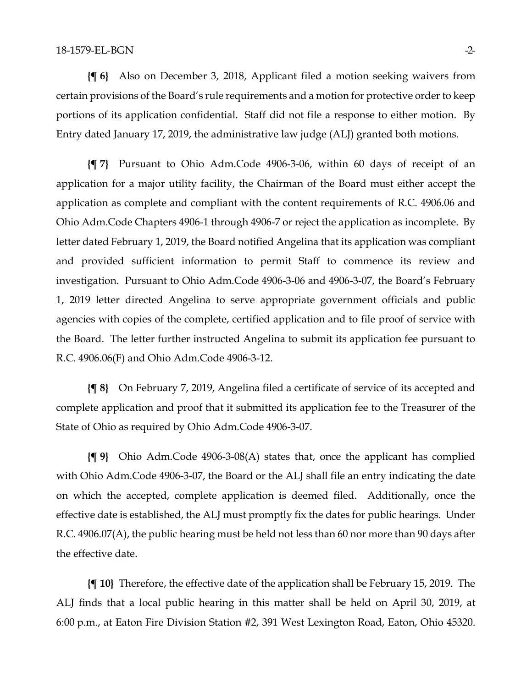**{¶ 6}** Also on December 3, 2018, Applicant filed a motion seeking waivers from certain provisions of the Board's rule requirements and a motion for protective order to keep portions of its application confidential. Staff did not file a response to either motion. By Entry dated January 17, 2019, the administrative law judge (ALJ) granted both motions.

**{¶ 7}** Pursuant to Ohio Adm.Code 4906-3-06, within 60 days of receipt of an application for a major utility facility, the Chairman of the Board must either accept the application as complete and compliant with the content requirements of R.C. 4906.06 and Ohio Adm.Code Chapters 4906-1 through 4906-7 or reject the application as incomplete. By letter dated February 1, 2019, the Board notified Angelina that its application was compliant and provided sufficient information to permit Staff to commence its review and investigation. Pursuant to Ohio Adm.Code 4906-3-06 and 4906-3-07, the Board's February 1, 2019 letter directed Angelina to serve appropriate government officials and public agencies with copies of the complete, certified application and to file proof of service with the Board. The letter further instructed Angelina to submit its application fee pursuant to R.C. 4906.06(F) and Ohio Adm.Code 4906-3-12.

**{¶ 8}** On February 7, 2019, Angelina filed a certificate of service of its accepted and complete application and proof that it submitted its application fee to the Treasurer of the State of Ohio as required by Ohio Adm.Code 4906-3-07.

**{¶ 9}** Ohio Adm.Code 4906-3-08(A) states that, once the applicant has complied with Ohio Adm.Code 4906-3-07, the Board or the ALJ shall file an entry indicating the date on which the accepted, complete application is deemed filed. Additionally, once the effective date is established, the ALJ must promptly fix the dates for public hearings. Under R.C. 4906.07(A), the public hearing must be held not less than 60 nor more than 90 days after the effective date.

**{¶ 10}** Therefore, the effective date of the application shall be February 15, 2019. The ALJ finds that a local public hearing in this matter shall be held on April 30, 2019, at 6:00 p.m., at Eaton Fire Division Station #2, 391 West Lexington Road, Eaton, Ohio 45320.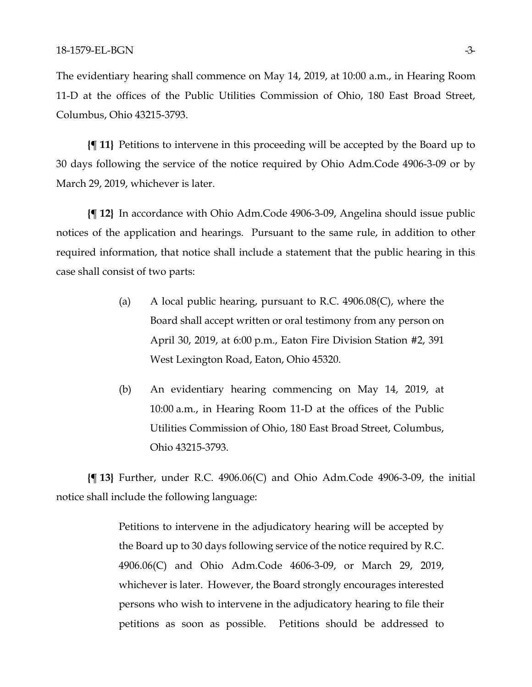The evidentiary hearing shall commence on May 14, 2019, at 10:00 a.m., in Hearing Room 11-D at the offices of the Public Utilities Commission of Ohio, 180 East Broad Street, Columbus, Ohio 43215-3793.

**{¶ 11}** Petitions to intervene in this proceeding will be accepted by the Board up to 30 days following the service of the notice required by Ohio Adm.Code 4906-3-09 or by March 29, 2019, whichever is later.

**{¶ 12}** In accordance with Ohio Adm.Code 4906-3-09, Angelina should issue public notices of the application and hearings. Pursuant to the same rule, in addition to other required information, that notice shall include a statement that the public hearing in this case shall consist of two parts:

- (a) A local public hearing, pursuant to R.C. 4906.08(C), where the Board shall accept written or oral testimony from any person on April 30, 2019, at 6:00 p.m., Eaton Fire Division Station #2, 391 West Lexington Road, Eaton, Ohio 45320.
- (b) An evidentiary hearing commencing on May 14, 2019, at 10:00 a.m., in Hearing Room 11-D at the offices of the Public Utilities Commission of Ohio, 180 East Broad Street, Columbus, Ohio 43215-3793.

**{¶ 13}** Further, under R.C. 4906.06(C) and Ohio Adm.Code 4906-3-09, the initial notice shall include the following language:

> Petitions to intervene in the adjudicatory hearing will be accepted by the Board up to 30 days following service of the notice required by R.C. 4906.06(C) and Ohio Adm.Code 4606-3-09, or March 29, 2019, whichever is later. However, the Board strongly encourages interested persons who wish to intervene in the adjudicatory hearing to file their petitions as soon as possible. Petitions should be addressed to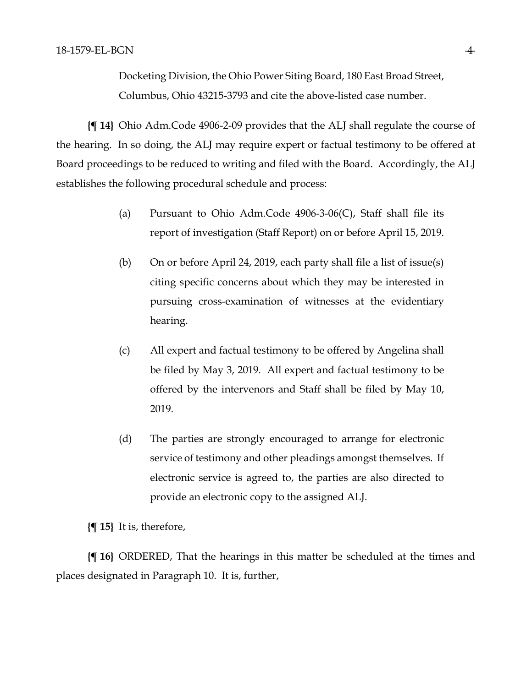Docketing Division, the Ohio Power Siting Board, 180 East Broad Street, Columbus, Ohio 43215-3793 and cite the above-listed case number.

**{¶ 14}** Ohio Adm.Code 4906-2-09 provides that the ALJ shall regulate the course of the hearing. In so doing, the ALJ may require expert or factual testimony to be offered at Board proceedings to be reduced to writing and filed with the Board. Accordingly, the ALJ establishes the following procedural schedule and process:

- (a) Pursuant to Ohio Adm.Code  $4906-3-06(C)$ , Staff shall file its report of investigation (Staff Report) on or before April 15, 2019.
- (b) On or before April 24, 2019, each party shall file a list of issue(s) citing specific concerns about which they may be interested in pursuing cross-examination of witnesses at the evidentiary hearing.
- (c) All expert and factual testimony to be offered by Angelina shall be filed by May 3, 2019. All expert and factual testimony to be offered by the intervenors and Staff shall be filed by May 10, 2019.
- (d) The parties are strongly encouraged to arrange for electronic service of testimony and other pleadings amongst themselves. If electronic service is agreed to, the parties are also directed to provide an electronic copy to the assigned ALJ.

**{¶ 15}** It is, therefore,

**{¶ 16}** ORDERED, That the hearings in this matter be scheduled at the times and places designated in Paragraph 10. It is, further,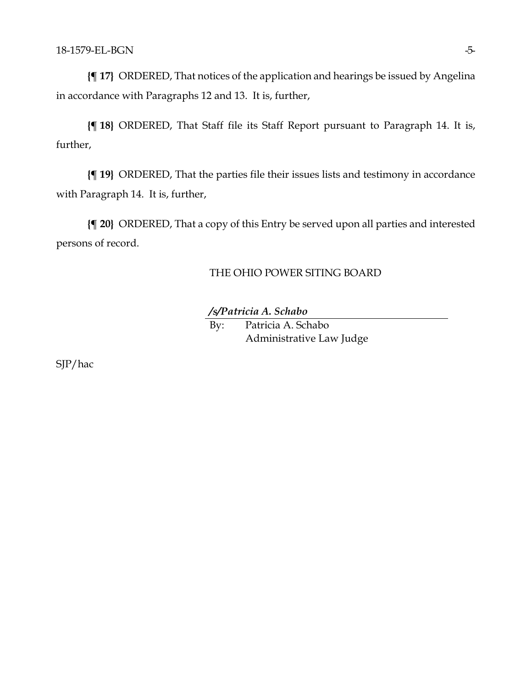**{¶ 17}** ORDERED, That notices of the application and hearings be issued by Angelina in accordance with Paragraphs 12 and 13. It is, further,

**{¶ 18}** ORDERED, That Staff file its Staff Report pursuant to Paragraph 14. It is, further,

**{¶ 19}** ORDERED, That the parties file their issues lists and testimony in accordance with Paragraph 14. It is, further,

**{¶ 20}** ORDERED, That a copy of this Entry be served upon all parties and interested persons of record.

## THE OHIO POWER SITING BOARD

*/s/Patricia A. Schabo*

By: Patricia A. Schabo Administrative Law Judge

SJP/hac